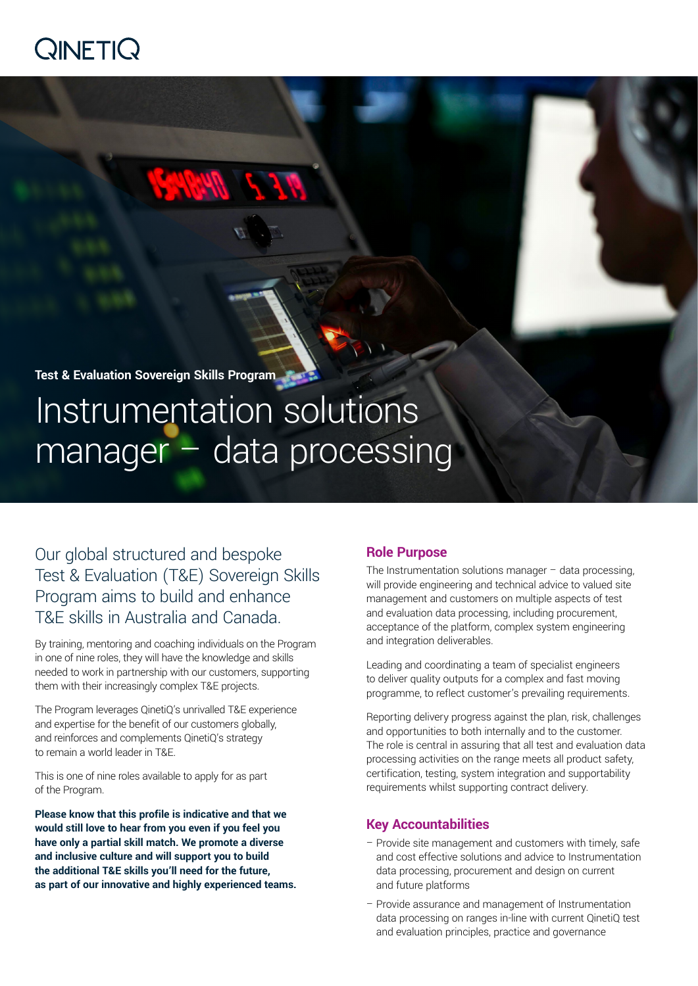

**Test & Evaluation Sovereign Skills Program**

# Instrumentation solutions manager – data processing

Our global structured and bespoke Test & Evaluation (T&E) Sovereign Skills Program aims to build and enhance T&E skills in Australia and Canada.

By training, mentoring and coaching individuals on the Program in one of nine roles, they will have the knowledge and skills needed to work in partnership with our customers, supporting them with their increasingly complex T&E projects.

The Program leverages QinetiQ's unrivalled T&E experience and expertise for the benefit of our customers globally, and reinforces and complements QinetiQ's strategy to remain a world leader in T&E.

This is one of nine roles available to apply for as part of the Program.

**Please know that this profile is indicative and that we would still love to hear from you even if you feel you have only a partial skill match. We promote a diverse and inclusive culture and will support you to build the additional T&E skills you'll need for the future, as part of our innovative and highly experienced teams.**

# **Role Purpose**

The Instrumentation solutions manager – data processing, will provide engineering and technical advice to valued site management and customers on multiple aspects of test and evaluation data processing, including procurement, acceptance of the platform, complex system engineering and integration deliverables.

Leading and coordinating a team of specialist engineers to deliver quality outputs for a complex and fast moving programme, to reflect customer's prevailing requirements.

Reporting delivery progress against the plan, risk, challenges and opportunities to both internally and to the customer. The role is central in assuring that all test and evaluation data processing activities on the range meets all product safety, certification, testing, system integration and supportability requirements whilst supporting contract delivery.

## **Key Accountabilities**

- Provide site management and customers with timely, safe and cost effective solutions and advice to Instrumentation data processing, procurement and design on current and future platforms
- Provide assurance and management of Instrumentation data processing on ranges in-line with current QinetiQ test and evaluation principles, practice and governance